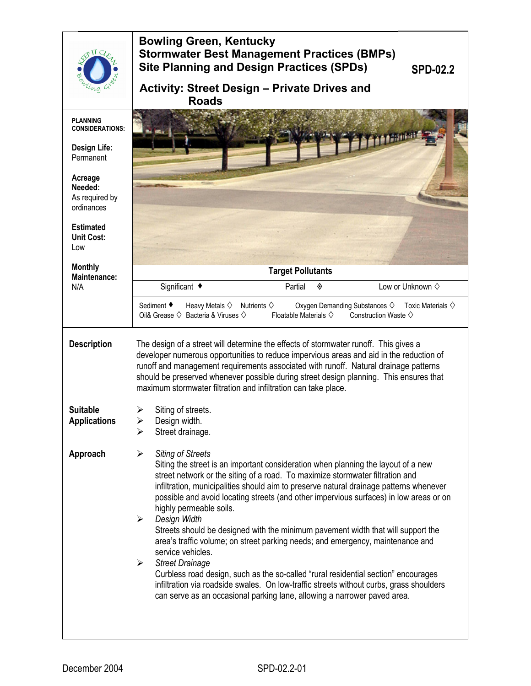| <b>Activity: Street Design - Private Drives and</b><br><b>Roads</b><br><b>PLANNING</b><br><b>CONSIDERATIONS:</b><br><b>Design Life:</b><br>Permanent<br>Acreage<br>Needed:<br>As required by<br>ordinances<br><b>Estimated</b><br><b>Unit Cost:</b><br>Low<br><b>Monthly</b><br><b>Target Pollutants</b><br>Maintenance:<br>Significant ◆<br>Low or Unknown $\diamond$<br>Partial<br>N/A<br>◈<br>Sediment ◆<br>Heavy Metals $\diamond$ Nutrients $\diamond$<br>Oxygen Demanding Substances ♦<br>Oil& Grease $\diamondsuit$ Bacteria & Viruses $\diamondsuit$<br>Floatable Materials $\diamondsuit$<br>Construction Waste $\diamond$<br><b>Description</b><br>The design of a street will determine the effects of stormwater runoff. This gives a<br>developer numerous opportunities to reduce impervious areas and aid in the reduction of<br>runoff and management requirements associated with runoff. Natural drainage patterns<br>should be preserved whenever possible during street design planning. This ensures that<br>maximum stormwater filtration and infiltration can take place.<br><b>Suitable</b><br>Siting of streets.<br>Design width.<br><b>Applications</b><br>➤<br>Street drainage.<br>⋗<br>Approach<br><b>Siting of Streets</b><br>➤<br>Siting the street is an important consideration when planning the layout of a new<br>street network or the siting of a road. To maximize stormwater filtration and<br>infiltration, municipalities should aim to preserve natural drainage patterns whenever<br>possible and avoid locating streets (and other impervious surfaces) in low areas or on<br>highly permeable soils.<br>Design Width<br>➤<br>Streets should be designed with the minimum pavement width that will support the<br>area's traffic volume; on street parking needs; and emergency, maintenance and<br>service vehicles.<br><b>Street Drainage</b><br>≻<br>Curbless road design, such as the so-called "rural residential section" encourages | TL C | <b>Bowling Green, Kentucky</b><br><b>Stormwater Best Management Practices (BMPs)</b><br><b>Site Planning and Design Practices (SPDs)</b> | <b>SPD-02.2</b>                |  |  |
|----------------------------------------------------------------------------------------------------------------------------------------------------------------------------------------------------------------------------------------------------------------------------------------------------------------------------------------------------------------------------------------------------------------------------------------------------------------------------------------------------------------------------------------------------------------------------------------------------------------------------------------------------------------------------------------------------------------------------------------------------------------------------------------------------------------------------------------------------------------------------------------------------------------------------------------------------------------------------------------------------------------------------------------------------------------------------------------------------------------------------------------------------------------------------------------------------------------------------------------------------------------------------------------------------------------------------------------------------------------------------------------------------------------------------------------------------------------------------------------------------------------------------------------------------------------------------------------------------------------------------------------------------------------------------------------------------------------------------------------------------------------------------------------------------------------------------------------------------------------------------------------------------------------------------------------------------------------------------------------|------|------------------------------------------------------------------------------------------------------------------------------------------|--------------------------------|--|--|
|                                                                                                                                                                                                                                                                                                                                                                                                                                                                                                                                                                                                                                                                                                                                                                                                                                                                                                                                                                                                                                                                                                                                                                                                                                                                                                                                                                                                                                                                                                                                                                                                                                                                                                                                                                                                                                                                                                                                                                                        |      |                                                                                                                                          |                                |  |  |
|                                                                                                                                                                                                                                                                                                                                                                                                                                                                                                                                                                                                                                                                                                                                                                                                                                                                                                                                                                                                                                                                                                                                                                                                                                                                                                                                                                                                                                                                                                                                                                                                                                                                                                                                                                                                                                                                                                                                                                                        |      |                                                                                                                                          |                                |  |  |
|                                                                                                                                                                                                                                                                                                                                                                                                                                                                                                                                                                                                                                                                                                                                                                                                                                                                                                                                                                                                                                                                                                                                                                                                                                                                                                                                                                                                                                                                                                                                                                                                                                                                                                                                                                                                                                                                                                                                                                                        |      |                                                                                                                                          |                                |  |  |
|                                                                                                                                                                                                                                                                                                                                                                                                                                                                                                                                                                                                                                                                                                                                                                                                                                                                                                                                                                                                                                                                                                                                                                                                                                                                                                                                                                                                                                                                                                                                                                                                                                                                                                                                                                                                                                                                                                                                                                                        |      |                                                                                                                                          |                                |  |  |
|                                                                                                                                                                                                                                                                                                                                                                                                                                                                                                                                                                                                                                                                                                                                                                                                                                                                                                                                                                                                                                                                                                                                                                                                                                                                                                                                                                                                                                                                                                                                                                                                                                                                                                                                                                                                                                                                                                                                                                                        |      |                                                                                                                                          |                                |  |  |
|                                                                                                                                                                                                                                                                                                                                                                                                                                                                                                                                                                                                                                                                                                                                                                                                                                                                                                                                                                                                                                                                                                                                                                                                                                                                                                                                                                                                                                                                                                                                                                                                                                                                                                                                                                                                                                                                                                                                                                                        |      |                                                                                                                                          |                                |  |  |
|                                                                                                                                                                                                                                                                                                                                                                                                                                                                                                                                                                                                                                                                                                                                                                                                                                                                                                                                                                                                                                                                                                                                                                                                                                                                                                                                                                                                                                                                                                                                                                                                                                                                                                                                                                                                                                                                                                                                                                                        |      |                                                                                                                                          |                                |  |  |
|                                                                                                                                                                                                                                                                                                                                                                                                                                                                                                                                                                                                                                                                                                                                                                                                                                                                                                                                                                                                                                                                                                                                                                                                                                                                                                                                                                                                                                                                                                                                                                                                                                                                                                                                                                                                                                                                                                                                                                                        |      |                                                                                                                                          | Toxic Materials $\diamondsuit$ |  |  |
|                                                                                                                                                                                                                                                                                                                                                                                                                                                                                                                                                                                                                                                                                                                                                                                                                                                                                                                                                                                                                                                                                                                                                                                                                                                                                                                                                                                                                                                                                                                                                                                                                                                                                                                                                                                                                                                                                                                                                                                        |      |                                                                                                                                          |                                |  |  |
|                                                                                                                                                                                                                                                                                                                                                                                                                                                                                                                                                                                                                                                                                                                                                                                                                                                                                                                                                                                                                                                                                                                                                                                                                                                                                                                                                                                                                                                                                                                                                                                                                                                                                                                                                                                                                                                                                                                                                                                        |      |                                                                                                                                          |                                |  |  |
| can serve as an occasional parking lane, allowing a narrower paved area.                                                                                                                                                                                                                                                                                                                                                                                                                                                                                                                                                                                                                                                                                                                                                                                                                                                                                                                                                                                                                                                                                                                                                                                                                                                                                                                                                                                                                                                                                                                                                                                                                                                                                                                                                                                                                                                                                                               |      | infiltration via roadside swales. On low-traffic streets without curbs, grass shoulders                                                  |                                |  |  |